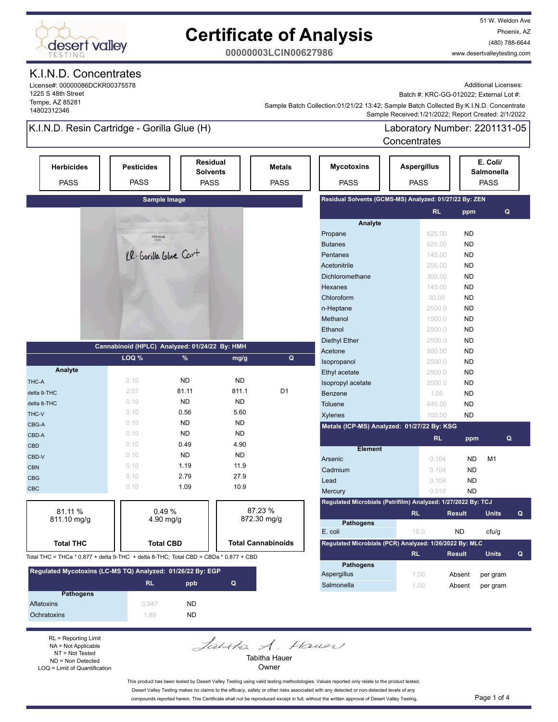

## **Certificate of Analysis**

51 W. Weldon Ave Phoenix, AZ (480) 788-6644 www.desertvalleytesting.com

**00000003LCIN00627986**

#### K.I.N.D. Concentrates

License#: 00000086DCKR00375578 1225 S 48th Street Tempe, AZ 85281 14802312346

Additional Licenses:

Batch #: KRC-GG-012022; External Lot #:

 Sample Received:1/21/2022; Report Created: 2/1/2022 Sample Batch Collection:01/21/22 13:42; Sample Batch Collected By:K.I.N.D. Concentrate

### K.I.N.D. Resin Cartridge - Gorilla Glue (H)

Laboratory Number: 2201131-05 **Concentrates** 

| <b>Herbicides</b><br><b>PASS</b>                                                     | <b>Pesticides</b><br><b>PASS</b>              |                                                               | Residual<br><b>Solvents</b><br><b>PASS</b> | <b>Metals</b><br><b>PASS</b> |                | <b>Mycotoxins</b><br><b>PASS</b>                             | <b>Aspergillus</b><br><b>PASS</b> |           |               | E. Coli/<br>Salmonella<br><b>PASS</b> |   |
|--------------------------------------------------------------------------------------|-----------------------------------------------|---------------------------------------------------------------|--------------------------------------------|------------------------------|----------------|--------------------------------------------------------------|-----------------------------------|-----------|---------------|---------------------------------------|---|
|                                                                                      |                                               | Sample Image                                                  |                                            |                              |                | Residual Solvents (GCMS-MS) Analyzed: 01/27/22 By: ZEN       |                                   |           |               |                                       |   |
|                                                                                      |                                               |                                                               |                                            |                              |                |                                                              |                                   | <b>RL</b> | ppm           | Q                                     |   |
|                                                                                      |                                               |                                                               |                                            |                              |                | Analyte                                                      |                                   |           |               |                                       |   |
|                                                                                      |                                               | $\begin{array}{r} 2201131 \hbox{-} 05 \\ 1/21/22 \end{array}$ |                                            |                              |                | Propane                                                      |                                   | 625.00    | <b>ND</b>     |                                       |   |
|                                                                                      |                                               |                                                               |                                            |                              |                | <b>Butanes</b>                                               |                                   | 625.00    | <b>ND</b>     |                                       |   |
|                                                                                      |                                               | KR-Gorilla Glue Cart                                          |                                            |                              |                | Pentanes                                                     |                                   | 145.00    | <b>ND</b>     |                                       |   |
|                                                                                      |                                               |                                                               |                                            |                              |                | Acetonitrile                                                 |                                   | 205.00    | <b>ND</b>     |                                       |   |
|                                                                                      |                                               |                                                               |                                            |                              |                | Dichloromethane                                              |                                   | 300.00    | <b>ND</b>     |                                       |   |
|                                                                                      |                                               |                                                               |                                            |                              |                | Hexanes                                                      |                                   | 145.00    | <b>ND</b>     |                                       |   |
|                                                                                      |                                               |                                                               |                                            |                              |                | Chloroform                                                   |                                   | 30.00     | <b>ND</b>     |                                       |   |
|                                                                                      |                                               |                                                               |                                            |                              |                | n-Heptane                                                    |                                   | 2500.0    | <b>ND</b>     |                                       |   |
|                                                                                      |                                               |                                                               |                                            |                              |                | Methanol                                                     |                                   | 1500.0    | <b>ND</b>     |                                       |   |
|                                                                                      |                                               |                                                               |                                            |                              |                | Ethanol                                                      |                                   | 2500.0    | <b>ND</b>     |                                       |   |
|                                                                                      | Cannabinoid (HPLC) Analyzed: 01/24/22 By: HMH |                                                               |                                            |                              |                | <b>Diethyl Ether</b>                                         |                                   | 2500.0    | <b>ND</b>     |                                       |   |
|                                                                                      | LOQ %                                         | %                                                             |                                            |                              | Q              | Acetone                                                      |                                   | 500.00    | <b>ND</b>     |                                       |   |
|                                                                                      |                                               |                                                               | mg/g                                       |                              |                | Isopropanol                                                  |                                   | 2500.0    | <b>ND</b>     |                                       |   |
| Analyte                                                                              |                                               |                                                               |                                            |                              |                | Ethyl acetate                                                |                                   | 2500.0    | <b>ND</b>     |                                       |   |
| THC-A                                                                                | 0.10                                          | <b>ND</b>                                                     | <b>ND</b>                                  |                              |                | Isopropyl acetate                                            |                                   | 2500.0    | <b>ND</b>     |                                       |   |
| delta 9-THC                                                                          | 2.07                                          | 81.11                                                         | 811.1                                      |                              | D <sub>1</sub> | Benzene                                                      |                                   | 1.00      | <b>ND</b>     |                                       |   |
| delta 8-THC                                                                          | 0.10                                          | <b>ND</b>                                                     | <b>ND</b>                                  |                              |                | Toluene                                                      |                                   | 445.00    | <b>ND</b>     |                                       |   |
| THC-V                                                                                | 0.10                                          | 0.56                                                          | 5.60                                       |                              |                | Xylenes                                                      |                                   | 100.00    | <b>ND</b>     |                                       |   |
| CBG-A                                                                                | 0.10                                          | <b>ND</b>                                                     | <b>ND</b>                                  |                              |                | Metals (ICP-MS) Analyzed: 01/27/22 By: KSG                   |                                   |           |               |                                       |   |
| CBD-A                                                                                | 0.10                                          | <b>ND</b>                                                     | <b>ND</b>                                  |                              |                |                                                              |                                   | <b>RL</b> | ppm           |                                       | Q |
| <b>CBD</b>                                                                           | 0.10                                          | 0.49                                                          | 4.90                                       |                              |                | <b>Element</b>                                               |                                   |           |               |                                       |   |
| CBD-V                                                                                | 0.10                                          | <b>ND</b>                                                     | <b>ND</b>                                  |                              |                | Arsenic                                                      |                                   | 0.104     | <b>ND</b>     | M <sub>1</sub>                        |   |
| <b>CBN</b>                                                                           | 0.10                                          | 1.19                                                          | 11.9                                       |                              |                | Cadmium                                                      |                                   | 0.104     | <b>ND</b>     |                                       |   |
| <b>CBG</b>                                                                           | 0.10                                          | 2.79                                                          | 27.9                                       |                              |                | Lead                                                         |                                   | 0.104     | <b>ND</b>     |                                       |   |
| <b>CBC</b>                                                                           | 0.10                                          | 1.09                                                          | 10.9                                       |                              |                | Mercury                                                      |                                   | 0.010     | <b>ND</b>     |                                       |   |
|                                                                                      |                                               |                                                               |                                            |                              |                | Regulated Microbials (Petrifilm) Analyzed: 1/27/2022 By: TCJ |                                   |           |               |                                       |   |
| 81.11 %                                                                              |                                               | 0.49%                                                         |                                            | 87.23 %<br>872.30 mg/g       |                |                                                              | <b>RL</b>                         |           | <b>Result</b> | <b>Units</b>                          | Q |
| 811.10 mg/g                                                                          |                                               | $4.90$ mg/g                                                   |                                            |                              |                | <b>Pathogens</b>                                             |                                   |           |               |                                       |   |
|                                                                                      |                                               |                                                               |                                            |                              |                | E. coli                                                      | 10.0                              |           | <b>ND</b>     | cfu/g                                 |   |
| <b>Total THC</b>                                                                     |                                               | <b>Total CBD</b>                                              |                                            | <b>Total Cannabinoids</b>    |                | Regulated Microbials (PCR) Analyzed: 1/26/2022 By: MLC       |                                   |           |               |                                       |   |
| Total THC = THCa * 0.877 + delta 9-THC + delta 8-THC; Total CBD = CBDa * 0.877 + CBD |                                               |                                                               |                                            |                              |                |                                                              | <b>RL</b>                         |           | <b>Result</b> | <b>Units</b>                          | Q |
| Regulated Mycotoxins (LC-MS TQ) Analyzed: 01/26/22 By: EGP                           |                                               |                                                               |                                            |                              |                | <b>Pathogens</b>                                             |                                   |           |               |                                       |   |
|                                                                                      | <b>RL</b>                                     | ppb                                                           | Q                                          |                              |                | Aspergillus<br>Salmonella                                    | 1.00                              |           | Absent        | per gram                              |   |
| <b>Pathogens</b>                                                                     |                                               |                                                               |                                            |                              |                |                                                              | 1.00                              |           | Absent        | per gram                              |   |
| Aflatoxins                                                                           | 0.947                                         | <b>ND</b>                                                     |                                            |                              |                |                                                              |                                   |           |               |                                       |   |
| Ochratoxins                                                                          | 1.89                                          | <b>ND</b>                                                     |                                            |                              |                |                                                              |                                   |           |               |                                       |   |

RL = Reporting Limit NA = Not Applicable NT = Not Tested ND = Non Detected LOQ = Limit of Quantification

Jahtha A. Haven Tabitha Hauer

Owner

This product has been tested by Desert Valley Testing using valid testing methodologies. Values reported only relate to the product tested. Desert Valley Testing makes no claims to the efficacy, safety or other risks associated with any detected or non-detected levels of any compounds reported herein. This Certificate shall not be reproduced except in full, without the written approval of Desert Valley Testing. Page 1 of 4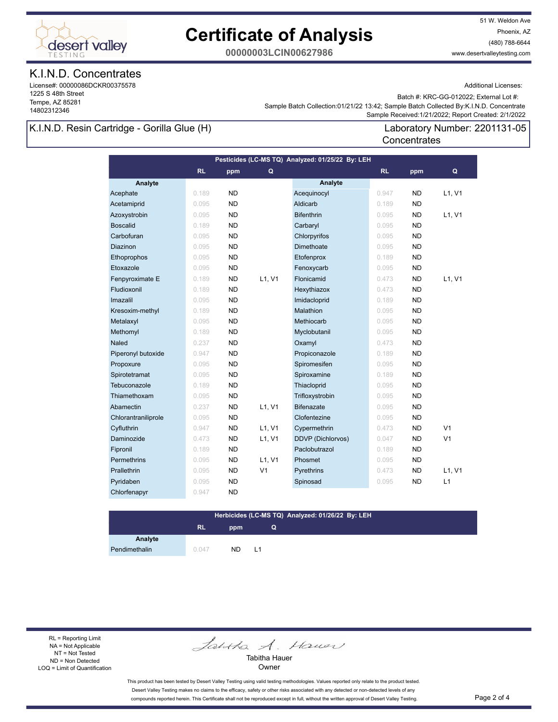

## **Certificate of Analysis**

51 W. Weldon Ave Phoenix, AZ (480) 788-6644 www.desertvalleytesting.com

**00000003LCIN00627986**

#### K.I.N.D. Concentrates

License#: 00000086DCKR00375578 1225 S 48th Street Tempe, AZ 85281 14802312346

Additional Licenses:

Batch #: KRC-GG-012022; External Lot #:

Laboratory Number: 2201131-05

 Sample Received:1/21/2022; Report Created: 2/1/2022 Sample Batch Collection:01/21/22 13:42; Sample Batch Collected By:K.I.N.D. Concentrate

**Concentrates** 

#### K.I.N.D. Resin Cartridge - Gorilla Glue (H)

**Analyte Analyte RL ppm RL ppm Pesticides (LC-MS TQ) Analyzed: 01/25/22 By: LEH Q Q** Acephate 0.189 ND Acequinocyl 0.947 ND L1, V1 Acetamiprid 0.095 ND Aldicarb 0.189 ND Azoxystrobin 0.095 ND Bifenthrin 0.095 ND L1, V1 Boscalid 0.189 ND Carbaryl 0.095 ND Carbofuran 0.095 ND Chlorpyrifos 0.095 ND **Diazinon 0.095 ND Dimethoate 0.095 ND**  Ethoprophos 0.095 ND Etofenprox 0.189 ND Etoxazole 0.095 ND Fenoxycarb 0.095 ND Fenpyroximate E 0.189 ND L1, V1 Flonicamid 0.473 ND L1, V1 Fludioxonil 0.189 ND Hexythiazox 0.473 ND Imazalil 0.095 ND Imidacloprid 0.189 ND Kresoxim-methyl 0.189 ND Malathion 0.095 ND Metalaxyl 0.095 ND Methiocarb 0.095 ND Methomyl 0.189 ND Myclobutanil 0.095 ND **Naled 0.237 ND Oxamyl 0.473 ND**  Piperonyl butoxide 0.947 ND Propiconazole 0.189 ND Propoxure 0.095 ND Spiromesifen 0.095 ND Spirotetramat 0.095 ND Spiroxamine 0.189 ND Tebuconazole 0.189 ND Thiacloprid 0.095 ND Thiamethoxam 0.095 ND Trifloxystrobin 0.095 ND Abamectin **0.237 ND L1, V1 Bifenazate 10.095 ND** Chlorantraniliprole 0.095 ND Clofentezine 0.095 ND Cyfluthrin **Cyfluthrin 1986** 0.947 ND L1, V1 Cypermethrin 0.473 ND V1 Daminozide 0.473 ND L1, V1 DDVP (Dichlorvos) 0.047 ND V1 Fipronil 0.189 ND Paclobutrazol 0.189 ND Permethrins 0.095 ND L1, V1 Phosmet 0.095 ND Prallethrin 0.095 ND V1 Pyrethrins 0.473 ND L1, V1 Pyridaben 1980 0.095 ND Spinosad 1980 0.095 ND L1 Chlorfenapyr 0.947 ND

#### **Herbicides (LC-MS TQ) Analyzed: 01/26/22 By: LEH**

**Q**

### **RL ppm**

**Analyte**

Pendimethalin 0.047 ND L1

RL = Reporting Limit NA = Not Applicable NT = Not Tested ND = Non Detected LOQ = Limit of Quantification

Jantha A. Hauer

Tabitha Hauer **Owner** 

This product has been tested by Desert Valley Testing using valid testing methodologies. Values reported only relate to the product tested. Desert Valley Testing makes no claims to the efficacy, safety or other risks associated with any detected or non-detected levels of any compounds reported herein. This Certificate shall not be reproduced except in full, without the written approval of Desert Valley Testing. Page 2 of 4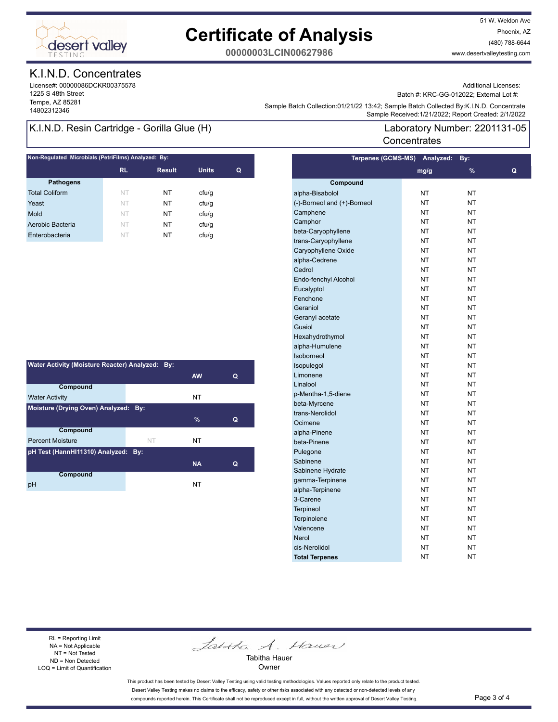

## **Certificate of Analysis**

51 W. Weldon Ave Phoenix, AZ (480) 788-6644 www.desertvalleytesting.com

**00000003LCIN00627986**

#### K.I.N.D. Concentrates

License#: 00000086DCKR00375578 1225 S 48th Street Tempe, AZ 85281

Additional Licenses:

Batch #: KRC-GG-012022; External Lot #:

Laboratory Number: 2201131-05

Sample Battri Collection.orizinzzi istaz, Sample Battri Collection (State Collection 2012)<br>Sample Received:1/21/2022; Report Created: 2/1/2022 Sample Batch Collection:01/21/22 13:42; Sample Batch Collected By:K.I.N.D. Concentrate

**Concentrates** 

#### K.I.N.D. Resin Cartridge - Gorilla Glue (H)

| <b>RL</b> | <b>Result</b> | <b>Units</b> | Q |
|-----------|---------------|--------------|---|
|           |               |              |   |
|           |               |              |   |
| NT        | NT            | ctu/g        |   |
| NT        | NT            | cfu/g        |   |
| NT        | NΤ            | cfu/q        |   |
| NT        | NT            | ctu/g        |   |
| NT        | NT            | cfu/g        |   |
|           |               |              |   |

| Water Activity (Moisture Reacter) Analyzed: By: |    |           |   |  |  |
|-------------------------------------------------|----|-----------|---|--|--|
|                                                 |    | <b>AW</b> | Q |  |  |
| Compound                                        |    |           |   |  |  |
| <b>Water Activity</b>                           |    | NT        |   |  |  |
| Moisture (Drying Oven) Analyzed: By:            |    |           |   |  |  |
|                                                 |    | $\%$      | Q |  |  |
| Compound                                        |    |           |   |  |  |
| <b>Percent Moisture</b>                         | NT | NT        |   |  |  |
| pH Test (HannHI11310) Analyzed: By:             |    |           |   |  |  |
|                                                 |    | <b>NA</b> | Q |  |  |
| Compound                                        |    |           |   |  |  |
| рH                                              |    | NT        |   |  |  |

|                             | Terpenes (GCMS-MS) Analyzed: | By:           |   |
|-----------------------------|------------------------------|---------------|---|
|                             | mg/g                         | $\frac{9}{6}$ | Q |
| Compound                    |                              |               |   |
| alpha-Bisabolol             | NT                           | <b>NT</b>     |   |
| (-)-Borneol and (+)-Borneol | NT                           | <b>NT</b>     |   |
| Camphene                    | NΤ                           | NT            |   |
| Camphor                     | <b>NT</b>                    | <b>NT</b>     |   |
| beta-Caryophyllene          | <b>NT</b>                    | <b>NT</b>     |   |
| trans-Caryophyllene         | NT                           | <b>NT</b>     |   |
| Caryophyllene Oxide         | NT                           | <b>NT</b>     |   |
| alpha-Cedrene               | ΝT                           | <b>NT</b>     |   |
| Cedrol                      | NΤ                           | NT            |   |
| Endo-fenchyl Alcohol        | <b>NT</b>                    | <b>NT</b>     |   |
| Eucalyptol                  | NT                           | <b>NT</b>     |   |
| Fenchone                    | NT                           | <b>NT</b>     |   |
| Geraniol                    | NΤ                           | <b>NT</b>     |   |
| Geranyl acetate             | NΤ                           | <b>NT</b>     |   |
| Guaiol                      | NΤ                           | <b>NT</b>     |   |
| Hexahydrothymol             | NT                           | <b>NT</b>     |   |
| alpha-Humulene              | NT                           | <b>NT</b>     |   |
| Isoborneol                  | NT                           | <b>NT</b>     |   |
| Isopulegol                  | NΤ                           | <b>NT</b>     |   |
| Limonene                    | ΝT                           | ΝT            |   |
| Linalool                    | ΝT                           | ΝT            |   |
| p-Mentha-1,5-diene          | NT                           | <b>NT</b>     |   |
| beta-Myrcene                | NT                           | <b>NT</b>     |   |
| trans-Nerolidol             | NT                           | <b>NT</b>     |   |
| Ocimene                     | NΤ                           | <b>NT</b>     |   |
| alpha-Pinene                | NΤ                           | NT            |   |
| beta-Pinene                 | NT                           | NT            |   |
| Pulegone                    | <b>NT</b>                    | <b>NT</b>     |   |
| Sabinene                    | NT                           | <b>NT</b>     |   |
| Sabinene Hydrate            | NT                           | <b>NT</b>     |   |
| gamma-Terpinene             | NΤ                           | <b>NT</b>     |   |
| alpha-Terpinene             | NΤ                           | <b>NT</b>     |   |
| 3-Carene                    | ΝT                           | <b>NT</b>     |   |
| <b>Terpineol</b>            | <b>NT</b>                    | <b>NT</b>     |   |
| Terpinolene                 | NT                           | <b>NT</b>     |   |
| Valencene                   | NT                           | <b>NT</b>     |   |
| <b>Nerol</b>                | ΝT                           | <b>NT</b>     |   |
| cis-Nerolidol               | NΤ                           | NΤ            |   |
| <b>Total Terpenes</b>       | NΤ                           | <b>NT</b>     |   |
|                             |                              |               |   |

#### RL = Reporting Limit NA = Not Applicable NT = Not Tested ND = Non Detected LOQ = Limit of Quantification

Jantha A. Hauer

Tabitha Hauer Owner

This product has been tested by Desert Valley Testing using valid testing methodologies. Values reported only relate to the product tested. Desert Valley Testing makes no claims to the efficacy, safety or other risks associated with any detected or non-detected levels of any compounds reported herein. This Certificate shall not be reproduced except in full, without the written approval of Desert Valley Testing. Page 3 of 4